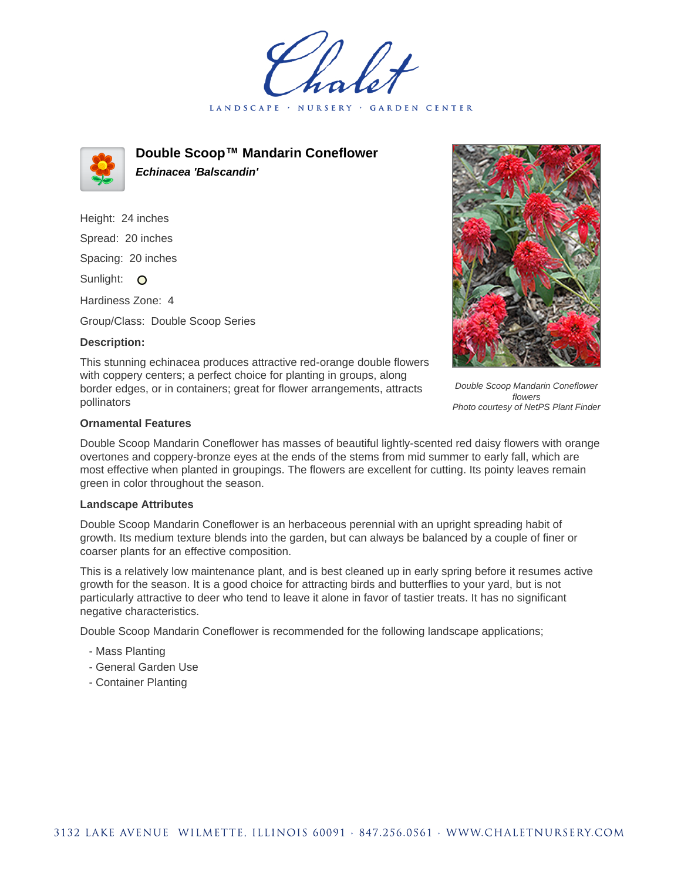LANDSCAPE · **GARDEN CENTER** 



**Double Scoop™ Mandarin Coneflower Echinacea 'Balscandin'**

Height: 24 inches Spread: 20 inches Spacing: 20 inches Sunlight: O Hardiness Zone: 4

Group/Class: Double Scoop Series

## **Description:**

This stunning echinacea produces attractive red-orange double flowers with coppery centers; a perfect choice for planting in groups, along border edges, or in containers; great for flower arrangements, attracts pollinators



Double Scoop Mandarin Coneflower flowers Photo courtesy of NetPS Plant Finder

## **Ornamental Features**

Double Scoop Mandarin Coneflower has masses of beautiful lightly-scented red daisy flowers with orange overtones and coppery-bronze eyes at the ends of the stems from mid summer to early fall, which are most effective when planted in groupings. The flowers are excellent for cutting. Its pointy leaves remain green in color throughout the season.

## **Landscape Attributes**

Double Scoop Mandarin Coneflower is an herbaceous perennial with an upright spreading habit of growth. Its medium texture blends into the garden, but can always be balanced by a couple of finer or coarser plants for an effective composition.

This is a relatively low maintenance plant, and is best cleaned up in early spring before it resumes active growth for the season. It is a good choice for attracting birds and butterflies to your yard, but is not particularly attractive to deer who tend to leave it alone in favor of tastier treats. It has no significant negative characteristics.

Double Scoop Mandarin Coneflower is recommended for the following landscape applications;

- Mass Planting
- General Garden Use
- Container Planting